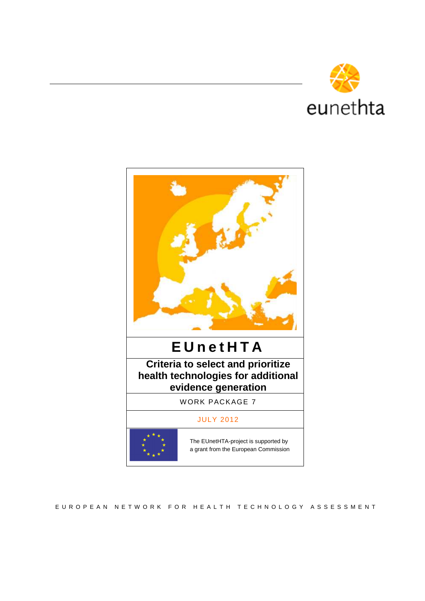



E U R O P E A N N E T W O R K F O R H E A L T H T E C H N O L O G Y A S S E S S M E N T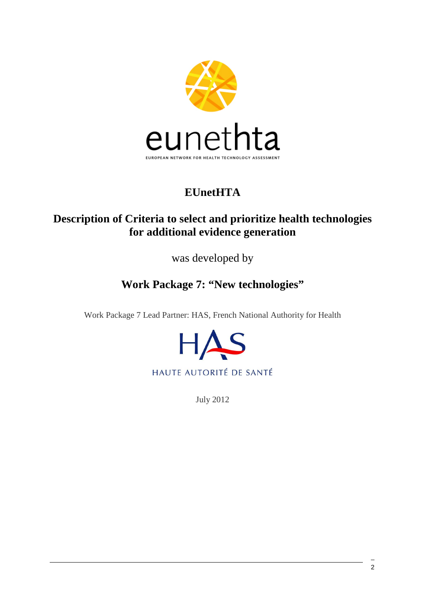

# **EUnetHTA**

## **Description of Criteria to select and prioritize health technologies for additional evidence generation**

was developed by

# **Work Package 7: "New technologies"**

Work Package 7 Lead Partner: HAS, French National Authority for Health



July 2012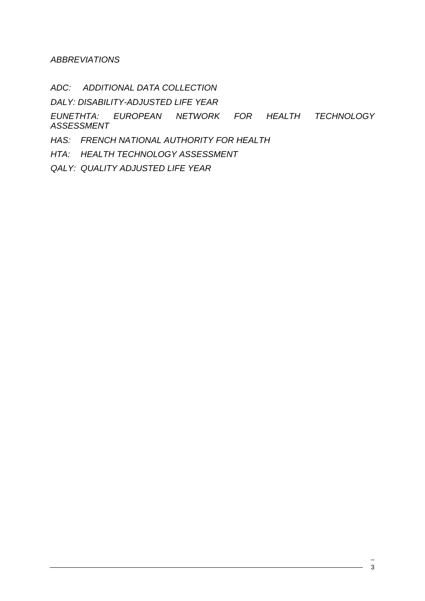**ABBREVIATIONS** 

ADC: ADDITIONAL DATA COLLECTION

DALY: DISABILITY-ADJUSTED LIFE YEAR

EUNETHTA: EUROPEAN NETWORK FOR HEALTH TECHNOLOGY ASSESSMENT

HAS: FRENCH NATIONAL AUTHORITY FOR HEALTH

HTA: HEALTH TECHNOLOGY ASSESSMENT

QALY: QUALITY ADJUSTED LIFE YEAR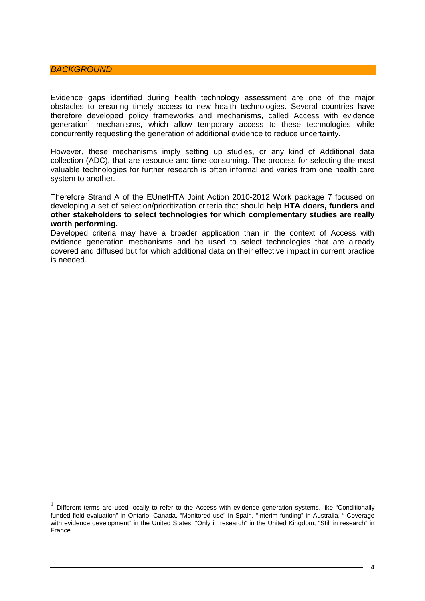#### **BACKGROUND**

 $\overline{a}$ 

Evidence gaps identified during health technology assessment are one of the major obstacles to ensuring timely access to new health technologies. Several countries have therefore developed policy frameworks and mechanisms, called Access with evidence generation<sup>1</sup> mechanisms, which allow temporary access to these technologies while concurrently requesting the generation of additional evidence to reduce uncertainty.

However, these mechanisms imply setting up studies, or any kind of Additional data collection (ADC), that are resource and time consuming. The process for selecting the most valuable technologies for further research is often informal and varies from one health care system to another.

Therefore Strand A of the EUnetHTA Joint Action 2010-2012 Work package 7 focused on developing a set of selection/prioritization criteria that should help **HTA doers, funders and other stakeholders to select technologies for which complementary studies are really worth performing.**

Developed criteria may have a broader application than in the context of Access with evidence generation mechanisms and be used to select technologies that are already covered and diffused but for which additional data on their effective impact in current practice is needed.

<sup>1</sup> Different terms are used locally to refer to the Access with evidence generation systems, like "Conditionally funded field evaluation" in Ontario, Canada, "Monitored use" in Spain, "Interim funding" in Australia, " Coverage with evidence development" in the United States, "Only in research" in the United Kingdom, "Still in research" in France.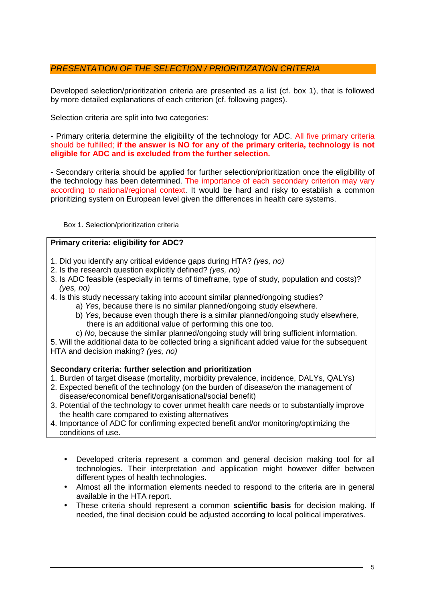## PRESENTATION OF THE SELECTION / PRIORITIZATION CRITERIA

Developed selection/prioritization criteria are presented as a list (cf. box 1), that is followed by more detailed explanations of each criterion (cf. following pages).

Selection criteria are split into two categories:

- Primary criteria determine the eligibility of the technology for ADC. All five primary criteria should be fulfilled; **if the answer is NO for any of the primary criteria, technology is not eligible for ADC and is excluded from the further selection.** 

- Secondary criteria should be applied for further selection/prioritization once the eligibility of the technology has been determined. The importance of each secondary criterion may vary according to national/regional context. It would be hard and risky to establish a common prioritizing system on European level given the differences in health care systems.

Box 1. Selection/prioritization criteria

### **Primary criteria: eligibility for ADC?**

- 1. Did you identify any critical evidence gaps during HTA? (yes, no)
- 2. Is the research question explicitly defined? (yes, no)
- 3. Is ADC feasible (especially in terms of timeframe, type of study, population and costs)? (yes, no)
- 4. Is this study necessary taking into account similar planned/ongoing studies?
	- a) Yes, because there is no similar planned/ongoing study elsewhere.
	- b) Yes, because even though there is a similar planned/ongoing study elsewhere, there is an additional value of performing this one too.
	- c) No, because the similar planned/ongoing study will bring sufficient information.

5. Will the additional data to be collected bring a significant added value for the subsequent HTA and decision making? (yes, no)

### **Secondary criteria: further selection and prioritization**

1. Burden of target disease (mortality, morbidity prevalence, incidence, DALYs, QALYs)

- 2. Expected benefit of the technology (on the burden of disease/on the management of disease/economical benefit/organisational/social benefit)
- 3. Potential of the technology to cover unmet health care needs or to substantially improve the health care compared to existing alternatives
- 4. Importance of ADC for confirming expected benefit and/or monitoring/optimizing the conditions of use.
	- Developed criteria represent a common and general decision making tool for all technologies. Their interpretation and application might however differ between different types of health technologies.
	- Almost all the information elements needed to respond to the criteria are in general available in the HTA report.
	- These criteria should represent a common **scientific basis** for decision making. If needed, the final decision could be adjusted according to local political imperatives.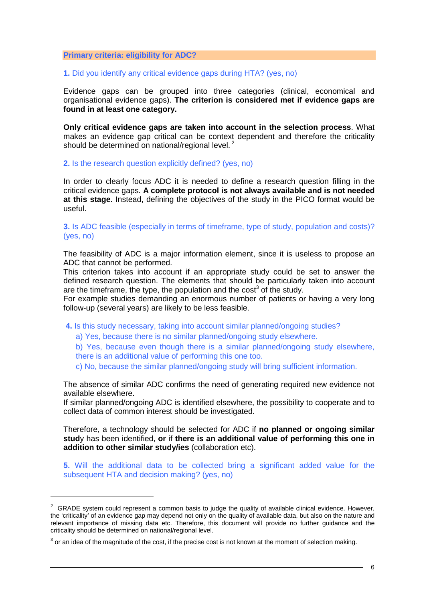#### **Primary criteria: eligibility for ADC?**

#### **1.** Did you identify any critical evidence gaps during HTA? (yes, no)

Evidence gaps can be grouped into three categories (clinical, economical and organisational evidence gaps). **The criterion is considered met if evidence gaps are found in at least one category.** 

**Only critical evidence gaps are taken into account in the selection process**. What makes an evidence gap critical can be context dependent and therefore the criticality should be determined on national/regional level.<sup>2</sup>

**2.** Is the research question explicitly defined? (yes, no)

In order to clearly focus ADC it is needed to define a research question filling in the critical evidence gaps. **A complete protocol is not always available and is not needed at this stage.** Instead, defining the objectives of the study in the PICO format would be useful.

**3.** Is ADC feasible (especially in terms of timeframe, type of study, population and costs)? (yes, no)

The feasibility of ADC is a major information element, since it is useless to propose an ADC that cannot be performed.

This criterion takes into account if an appropriate study could be set to answer the defined research question. The elements that should be particularly taken into account are the timeframe, the type, the population and the cost<sup>3</sup> of the study.

For example studies demanding an enormous number of patients or having a very long follow-up (several years) are likely to be less feasible.

**4.** Is this study necessary, taking into account similar planned/ongoing studies?

a) Yes, because there is no similar planned/ongoing study elsewhere.

b) Yes, because even though there is a similar planned/ongoing study elsewhere, there is an additional value of performing this one too.

c) No, because the similar planned/ongoing study will bring sufficient information.

The absence of similar ADC confirms the need of generating required new evidence not available elsewhere.

If similar planned/ongoing ADC is identified elsewhere, the possibility to cooperate and to collect data of common interest should be investigated.

Therefore, a technology should be selected for ADC if **no planned or ongoing similar stud**y has been identified, **or** if **there is an additional value of performing this one in addition to other similar study/ies** (collaboration etc).

**5.** Will the additional data to be collected bring a significant added value for the subsequent HTA and decision making? (yes, no)

 $\overline{a}$ 

 $2$  GRADE system could represent a common basis to judge the quality of available clinical evidence. However, the 'criticality' of an evidence gap may depend not only on the quality of available data, but also on the nature and relevant importance of missing data etc. Therefore, this document will provide no further guidance and the criticality should be determined on national/regional level.

 $3$  or an idea of the magnitude of the cost, if the precise cost is not known at the moment of selection making.